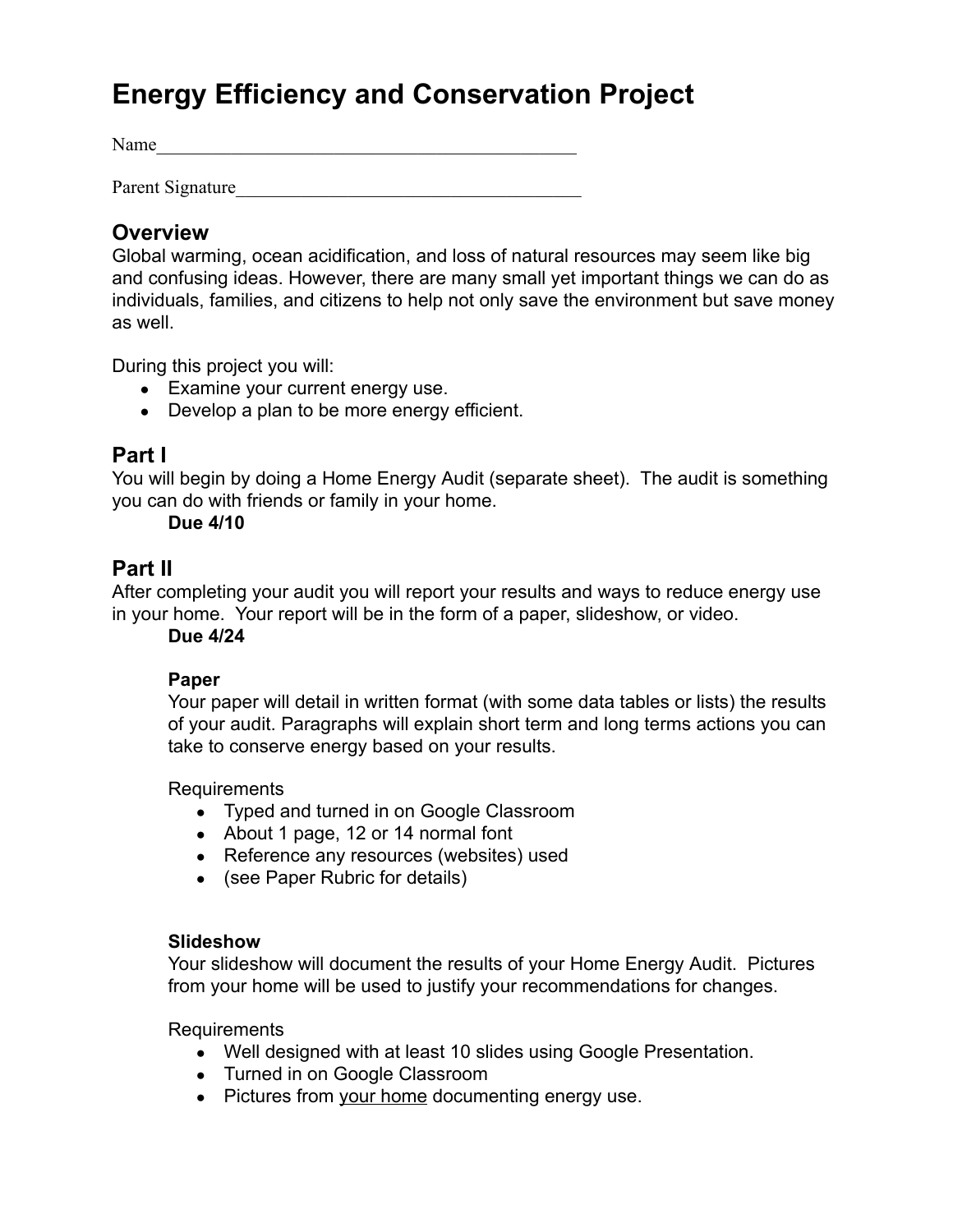# **Energy Efficiency and Conservation Project**

Name

Parent Signature

### **Overview**

Global warming, ocean acidification, and loss of natural resources may seem like big and confusing ideas. However, there are many small yet important things we can do as individuals, families, and citizens to help not only save the environment but save money as well.

During this project you will:

- Examine your current energy use.
- Develop a plan to be more energy efficient.

### **Part I**

You will begin by doing a Home Energy Audit (separate sheet). The audit is something you can do with friends or family in your home.

#### **Due 4/10**

### **Part II**

After completing your audit you will report your results and ways to reduce energy use in your home. Your report will be in the form of a paper, slideshow, or video.

**Due 4/24**

#### **Paper**

Your paper will detail in written format (with some data tables or lists) the results of your audit. Paragraphs will explain short term and long terms actions you can take to conserve energy based on your results.

Requirements

- Typed and turned in on Google Classroom
- About 1 page, 12 or 14 normal font
- Reference any resources (websites) used
- (see Paper Rubric for details)

#### **Slideshow**

Your slideshow will document the results of your Home Energy Audit. Pictures from your home will be used to justify your recommendations for changes.

**Requirements** 

- Well designed with at least 10 slides using Google Presentation.
- Turned in on Google Classroom
- Pictures from your home documenting energy use.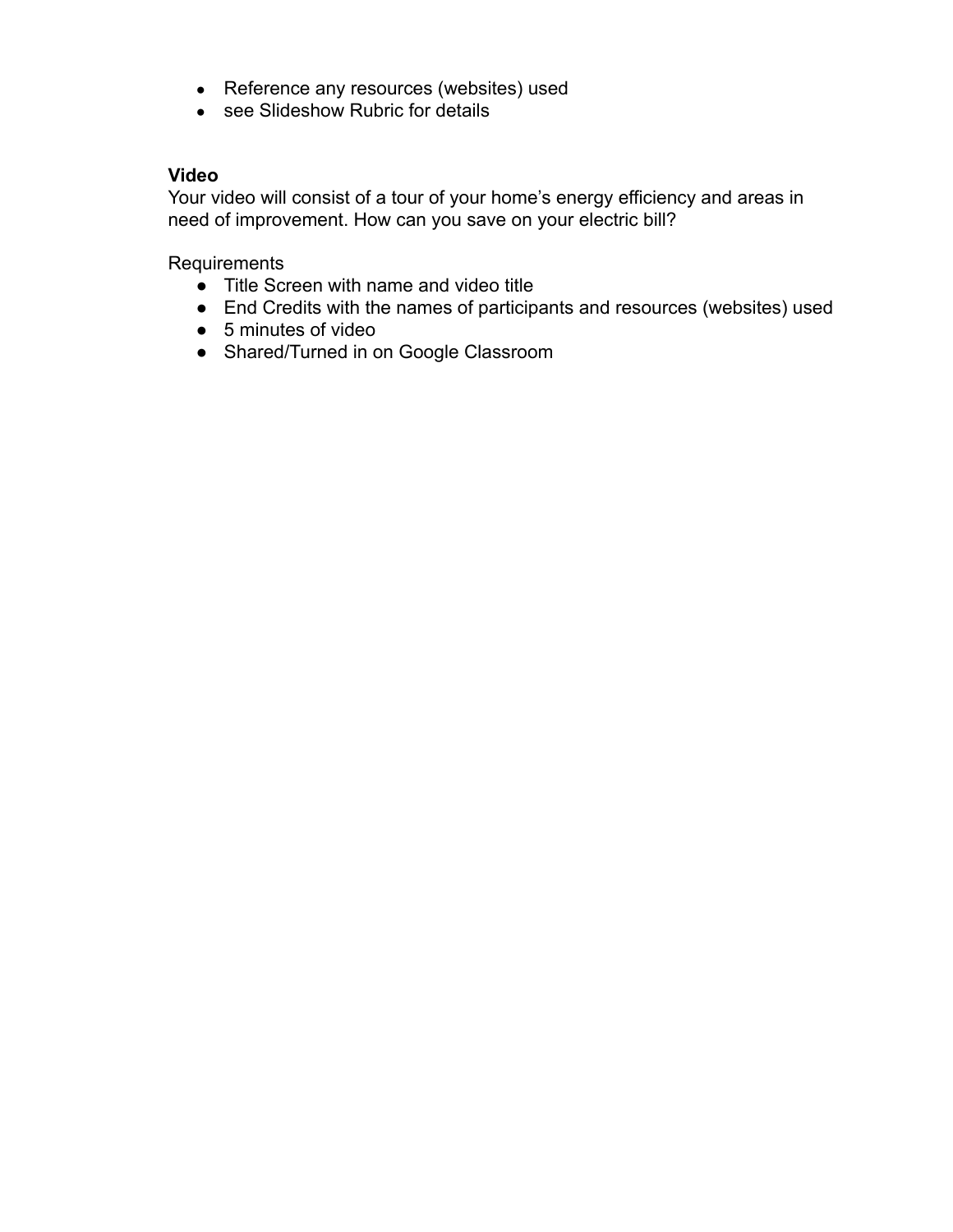- Reference any resources (websites) used
- see Slideshow Rubric for details

#### **Video**

Your video will consist of a tour of your home's energy efficiency and areas in need of improvement. How can you save on your electric bill?

Requirements

- Title Screen with name and video title
- End Credits with the names of participants and resources (websites) used
- 5 minutes of video
- Shared/Turned in on Google Classroom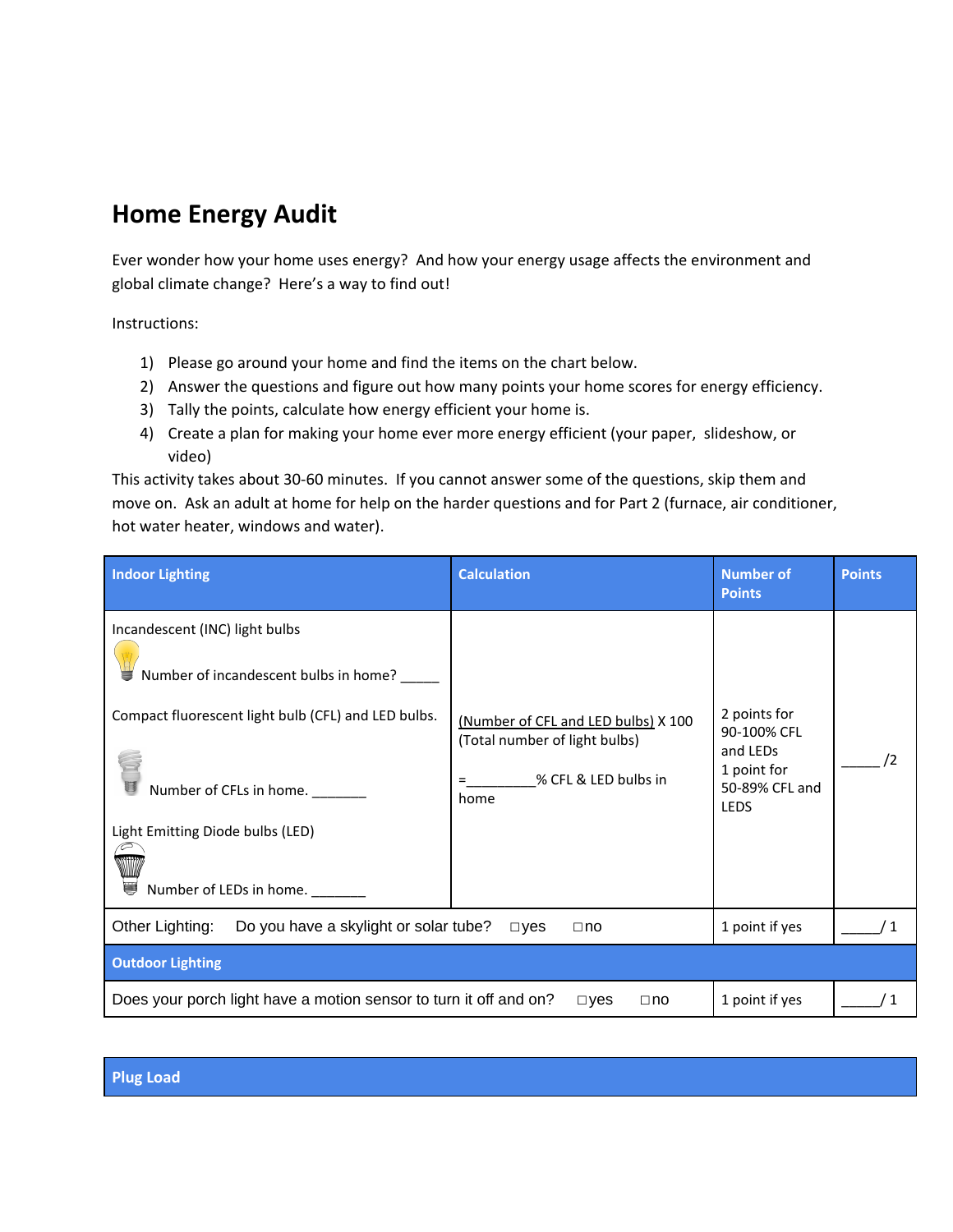## **Home Energy Audit**

Ever wonder how your home uses energy? And how your energy usage affects the environment and global climate change? Here's a way to find out!

Instructions:

- 1) Please go around your home and find the items on the chart below.
- 2) Answer the questions and figure out how many points your home scores for energy efficiency.
- 3) Tally the points, calculate how energy efficient your home is.
- 4) Create a plan for making your home ever more energy efficient (your paper, slideshow, or video)

This activity takes about 30‑60 minutes. If you cannot answer some of the questions, skip them and move on. Ask an adult at home for help on the harder questions and for Part 2 (furnace, air conditioner, hot water heater, windows and water).

| <b>Indoor Lighting</b>                                                                                                                                                                                                         | <b>Calculation</b>                                                                                        | <b>Number of</b><br><b>Points</b>                                                       | <b>Points</b> |
|--------------------------------------------------------------------------------------------------------------------------------------------------------------------------------------------------------------------------------|-----------------------------------------------------------------------------------------------------------|-----------------------------------------------------------------------------------------|---------------|
| Incandescent (INC) light bulbs<br>Number of incandescent bulbs in home?<br>Compact fluorescent light bulb (CFL) and LED bulbs.<br>Number of CFLs in home.<br>Light Emitting Diode bulbs (LED)<br>Ü,<br>Number of LEDs in home. | (Number of CFL and LED bulbs) X 100<br>(Total number of light bulbs)<br>% CFL & LED bulbs in<br>=<br>home | 2 points for<br>90-100% CFL<br>and LEDs<br>1 point for<br>50-89% CFL and<br><b>LEDS</b> |               |
| Other Lighting:<br>Do you have a skylight or solar tube?<br>1 point if yes<br>$\square$ yes<br>$\Box$ no                                                                                                                       |                                                                                                           |                                                                                         |               |
| <b>Outdoor Lighting</b>                                                                                                                                                                                                        |                                                                                                           |                                                                                         |               |
| Does your porch light have a motion sensor to turn it off and on?                                                                                                                                                              | $\square$ yes<br>$\Box$ no                                                                                | 1 point if yes                                                                          |               |

**Plug Load**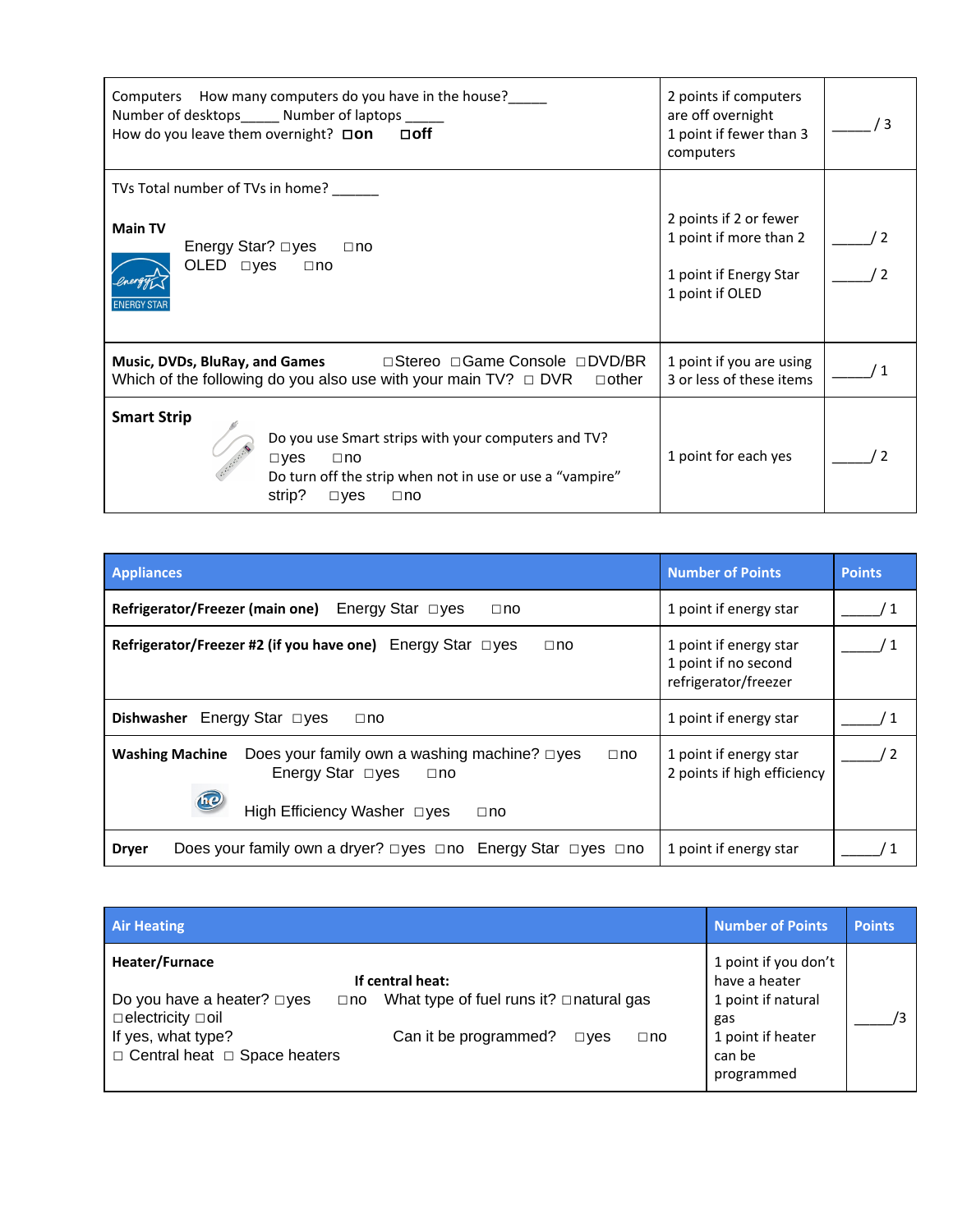| Computers How many computers do you have in the house?<br>Number of desktops______ Number of laptops ______<br>How do you leave them overnight? $\square$ on $\square$ off                                  | 2 points if computers<br>are off overnight<br>1 point if fewer than 3<br>computers            |  |
|-------------------------------------------------------------------------------------------------------------------------------------------------------------------------------------------------------------|-----------------------------------------------------------------------------------------------|--|
| TVs Total number of TVs in home?                                                                                                                                                                            |                                                                                               |  |
| <b>Main TV</b><br>Energy Star? □yes<br>$\Box$ no<br>OLED □yes<br>$\Box$ no<br><b>ENERGY STAF</b>                                                                                                            | 2 points if 2 or fewer<br>1 point if more than 2<br>1 point if Energy Star<br>1 point if OLED |  |
| Which of the following do you also use with your main $TV$ ? $\Box$ DVR<br>$\Box$ other                                                                                                                     | 1 point if you are using<br>3 or less of these items                                          |  |
| <b>Smart Strip</b><br>Do you use Smart strips with your computers and TV?<br>$\square$ yes<br>$\Box$ no<br>Do turn off the strip when not in use or use a "vampire"<br>strip?<br>$\square$ yes<br>$\Box$ no | 1 point for each yes                                                                          |  |

| <b>Appliances</b>                                                                                                                                                               | <b>Number of Points</b>                                                | <b>Points</b> |
|---------------------------------------------------------------------------------------------------------------------------------------------------------------------------------|------------------------------------------------------------------------|---------------|
| Energy Star $\Box$ yes<br>Refrigerator/Freezer (main one)<br>$\Box$ no                                                                                                          | 1 point if energy star                                                 |               |
| Refrigerator/Freezer #2 (if you have one) Energy Star $\Box$ yes<br>$\Box$ no                                                                                                   | 1 point if energy star<br>1 point if no second<br>refrigerator/freezer |               |
| Energy Star □yes<br><b>Dishwasher</b><br>$\square$ no                                                                                                                           | 1 point if energy star                                                 |               |
| Does your family own a washing machine? $\square$ yes<br><b>Washing Machine</b><br>$\Box$ no<br>Energy Star $\Box$ yes<br>$\Box$ no<br>High Efficiency Washer □yes<br>$\Box$ no | 1 point if energy star<br>2 points if high efficiency                  |               |
| Does your family own a dryer? □ yes □ no Energy Star □ yes □ no<br><b>Dryer</b>                                                                                                 | 1 point if energy star                                                 |               |

| <b>Air Heating</b>                                                                                                                                                                                                                                                                                | <b>Number of Points</b>                                                                                         | <b>Points</b> |
|---------------------------------------------------------------------------------------------------------------------------------------------------------------------------------------------------------------------------------------------------------------------------------------------------|-----------------------------------------------------------------------------------------------------------------|---------------|
| Heater/Furnace<br>If central heat:<br>Do you have a heater? $\square$ yes<br>What type of fuel runs it? $\Box$ natural gas<br>$\Box$ no<br>$\Box$ electricity $\Box$ oil<br>If yes, what type?<br>Can it be programmed?<br>$\square$ ves<br>$\Box$ no<br>$\Box$ Central heat $\Box$ Space heaters | 1 point if you don't<br>have a heater<br>1 point if natural<br>gas<br>1 point if heater<br>can be<br>programmed |               |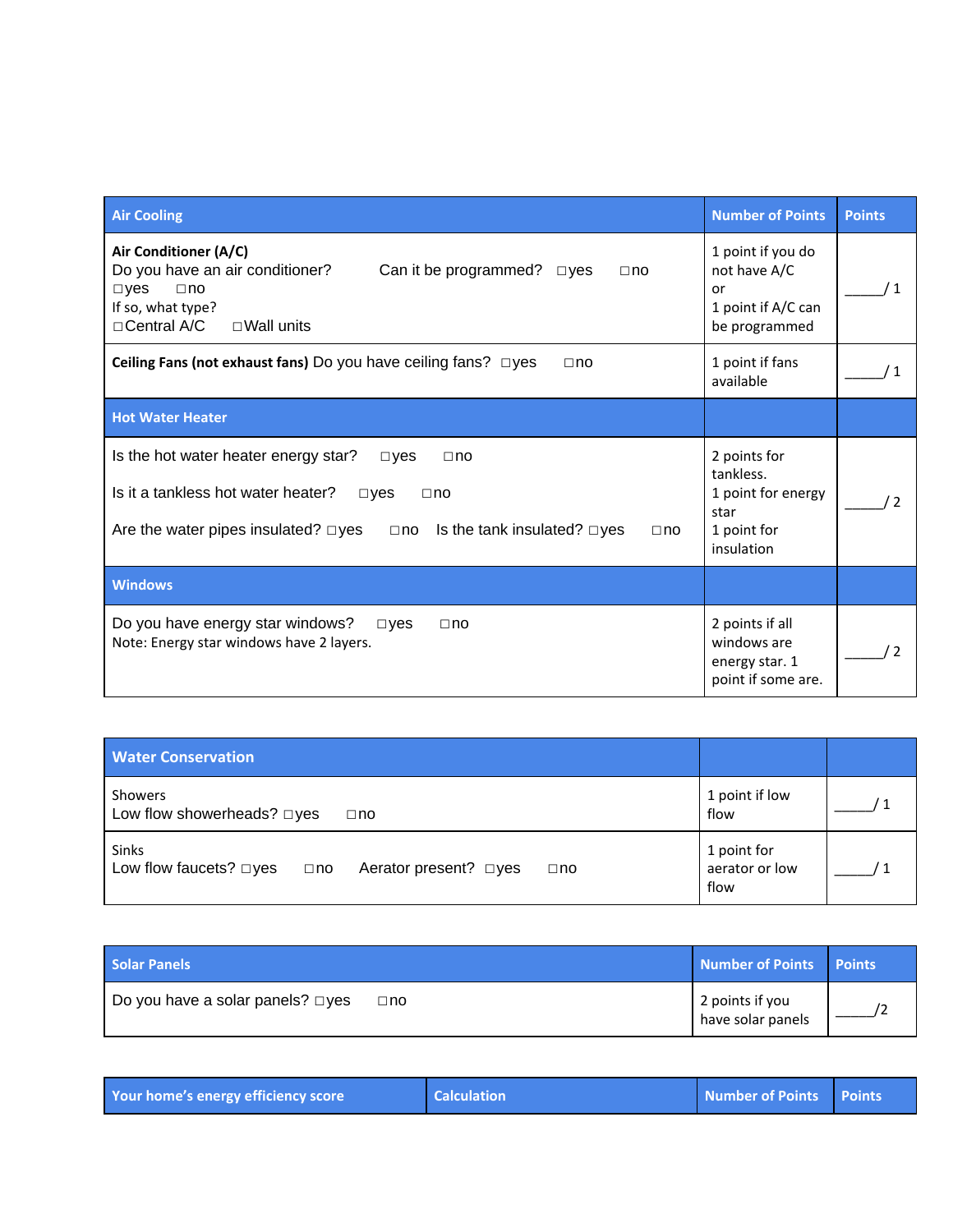| <b>Air Cooling</b>                                                                                                                                                                                                                                          | <b>Number of Points</b>                                                              | <b>Points</b> |
|-------------------------------------------------------------------------------------------------------------------------------------------------------------------------------------------------------------------------------------------------------------|--------------------------------------------------------------------------------------|---------------|
| Air Conditioner (A/C)<br>Do you have an air conditioner?<br>Can it be programmed?<br>$\square$ yes<br>$\Box$ no<br>$\neg$ yes<br>$\Box$ no<br>If so, what type?<br>□ Central A/C<br>$\Box$ Wall units                                                       | 1 point if you do<br>not have A/C<br>or<br>1 point if A/C can<br>be programmed       |               |
| Ceiling Fans (not exhaust fans) Do you have ceiling fans? $\Box$ yes<br>$\Box$ no                                                                                                                                                                           | 1 point if fans<br>available                                                         |               |
| <b>Hot Water Heater</b>                                                                                                                                                                                                                                     |                                                                                      |               |
| Is the hot water heater energy star?<br>$\square$ yes<br>$\Box$ no<br>Is it a tankless hot water heater?<br>$\square$ yes<br>$\Box$ no<br>Are the water pipes insulated? $\square$ yes<br>Is the tank insulated? $\square$ yes<br>$\square$ no<br>$\Box$ no | 2 points for<br>tankless.<br>1 point for energy<br>star<br>1 point for<br>insulation |               |
| <b>Windows</b>                                                                                                                                                                                                                                              |                                                                                      |               |
| Do you have energy star windows?<br>$\square$ ves<br>$\Box$ no<br>Note: Energy star windows have 2 layers.                                                                                                                                                  | 2 points if all<br>windows are<br>energy star. 1<br>point if some are.               |               |

| <b>Water Conservation</b>                                                                          |                                       |  |
|----------------------------------------------------------------------------------------------------|---------------------------------------|--|
| Showers<br>Low flow showerheads? $\square$ yes<br>$\Box$ no                                        | 1 point if low<br>flow                |  |
| <b>Sinks</b><br>Low flow faucets? $\square$ yes<br>Aerator present? □yes<br>$\Box$ no<br>$\Box$ no | 1 point for<br>aerator or low<br>flow |  |

| Solar Panels                                               | Number of Points Points              |  |
|------------------------------------------------------------|--------------------------------------|--|
| $\Box$ Do you have a solar panels? $\Box$ yes<br>$\Box$ no | 2 points if you<br>have solar panels |  |

| Your home's energy efficiency score | <b>Calculation</b> | Number of Points Points |  |
|-------------------------------------|--------------------|-------------------------|--|
|-------------------------------------|--------------------|-------------------------|--|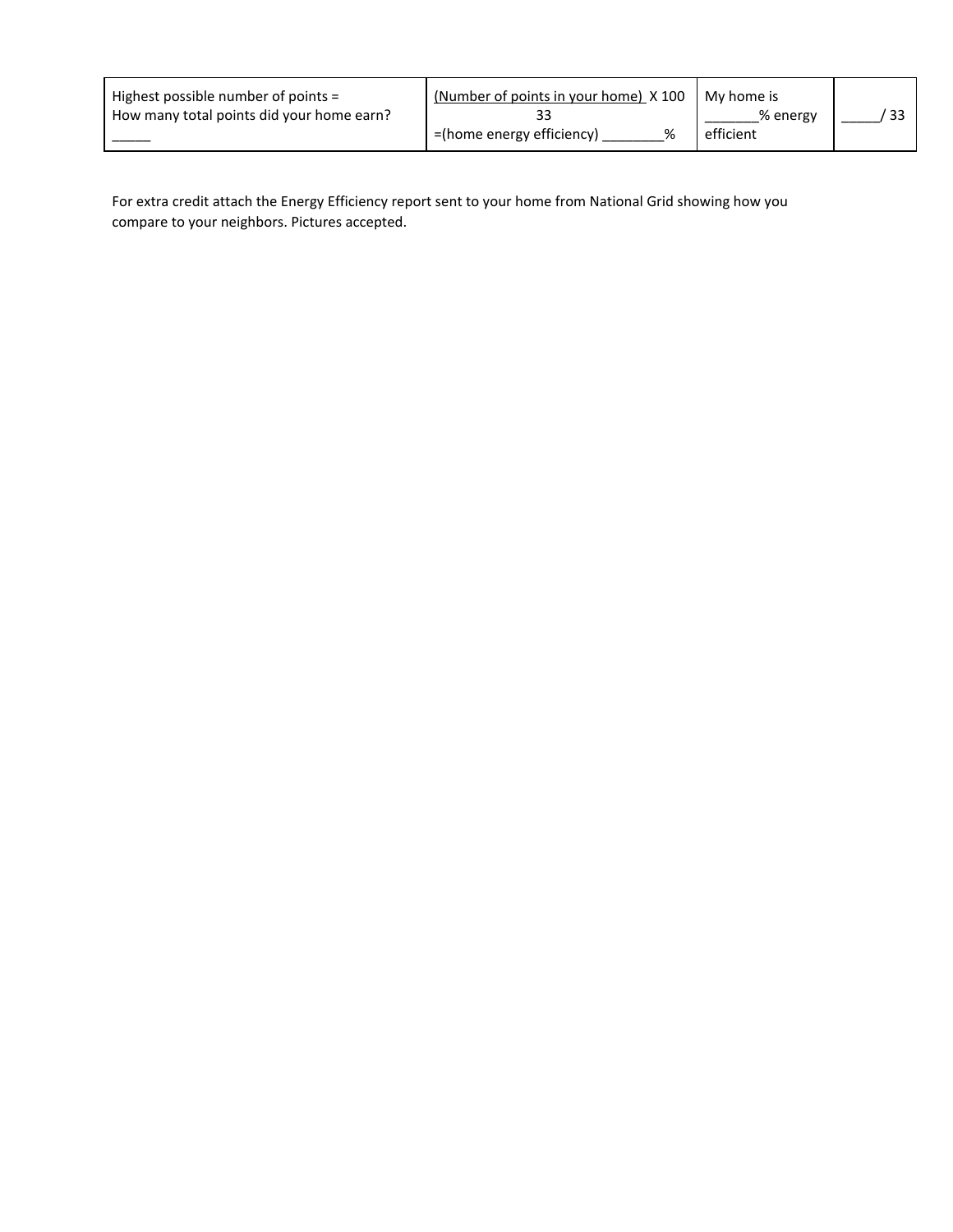| Highest possible number of points =       | (Number of points in your home) X 100 | My home is |  |
|-------------------------------------------|---------------------------------------|------------|--|
| How many total points did your home earn? |                                       | % energy   |  |
|                                           | =(home energy efficiency)<br>℅        | efficient  |  |

For extra credit attach the Energy Efficiency report sent to your home from National Grid showing how you compare to your neighbors. Pictures accepted.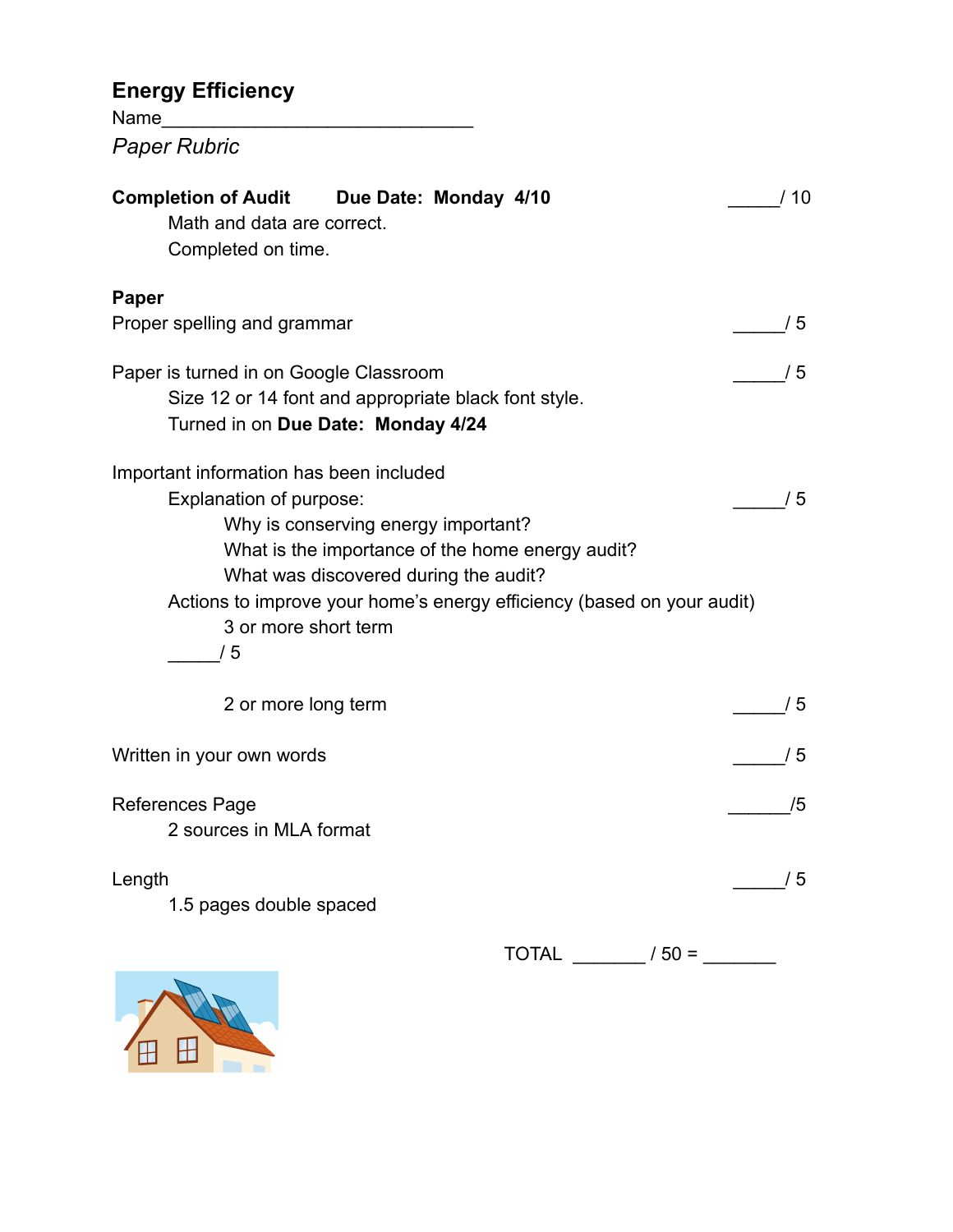# **Energy Efficiency**

Name\_\_\_\_\_\_\_\_\_\_\_\_\_\_\_\_\_\_\_\_\_\_\_\_\_\_\_\_\_\_ *Paper Rubric*

| <b>Completion of Audit Due Date: Monday 4/10</b><br>Math and data are correct.<br>Completed on time.                                                                                                                                                                                                           | /10 |
|----------------------------------------------------------------------------------------------------------------------------------------------------------------------------------------------------------------------------------------------------------------------------------------------------------------|-----|
| Paper                                                                                                                                                                                                                                                                                                          |     |
| Proper spelling and grammar                                                                                                                                                                                                                                                                                    | /5  |
| Paper is turned in on Google Classroom<br>Size 12 or 14 font and appropriate black font style.<br>Turned in on Due Date: Monday 4/24                                                                                                                                                                           | /5  |
| Important information has been included<br>Explanation of purpose:<br>Why is conserving energy important?<br>What is the importance of the home energy audit?<br>What was discovered during the audit?<br>Actions to improve your home's energy efficiency (based on your audit)<br>3 or more short term<br>/5 | /5  |
| 2 or more long term                                                                                                                                                                                                                                                                                            | /5  |
| Written in your own words                                                                                                                                                                                                                                                                                      | /5  |
| <b>References Page</b><br>2 sources in MLA format                                                                                                                                                                                                                                                              | /5  |
| Length<br>1.5 pages double spaced                                                                                                                                                                                                                                                                              | /5  |
| <b>TOTAL</b><br>$/50 =$                                                                                                                                                                                                                                                                                        |     |

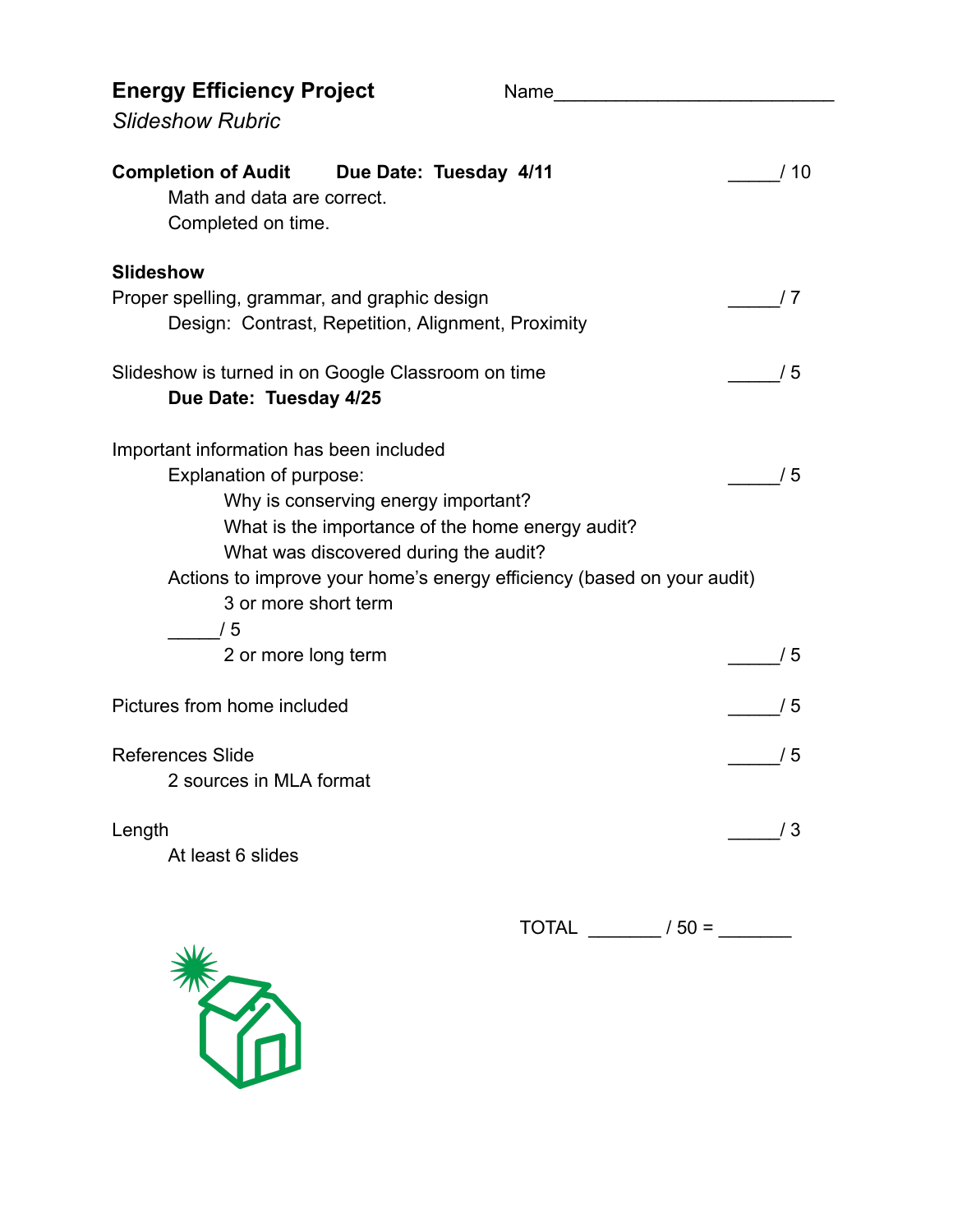| <b>Energy Efficiency Project</b>                                                                                                                                                                                                                                                                               | Name and the state of the state of the state of the state of the state of the state of the state of the state of the state of the state of the state of the state of the state of the state of the state of the state of the s |     |
|----------------------------------------------------------------------------------------------------------------------------------------------------------------------------------------------------------------------------------------------------------------------------------------------------------------|--------------------------------------------------------------------------------------------------------------------------------------------------------------------------------------------------------------------------------|-----|
| <b>Slideshow Rubric</b>                                                                                                                                                                                                                                                                                        |                                                                                                                                                                                                                                |     |
| Completion of Audit Due Date: Tuesday 4/11<br>Math and data are correct.<br>Completed on time.                                                                                                                                                                                                                 |                                                                                                                                                                                                                                | /10 |
| <b>Slideshow</b><br>Proper spelling, grammar, and graphic design<br>Design: Contrast, Repetition, Alignment, Proximity                                                                                                                                                                                         |                                                                                                                                                                                                                                | 7 / |
| Slideshow is turned in on Google Classroom on time<br>Due Date: Tuesday 4/25                                                                                                                                                                                                                                   |                                                                                                                                                                                                                                | /5  |
| Important information has been included<br>Explanation of purpose:<br>Why is conserving energy important?<br>What is the importance of the home energy audit?<br>What was discovered during the audit?<br>Actions to improve your home's energy efficiency (based on your audit)<br>3 or more short term<br>/5 |                                                                                                                                                                                                                                | /5  |
| 2 or more long term                                                                                                                                                                                                                                                                                            |                                                                                                                                                                                                                                | /5  |
| Pictures from home included                                                                                                                                                                                                                                                                                    |                                                                                                                                                                                                                                | /5  |
| <b>References Slide</b><br>2 sources in MLA format                                                                                                                                                                                                                                                             |                                                                                                                                                                                                                                | /5  |
| Length<br>At least 6 slides                                                                                                                                                                                                                                                                                    |                                                                                                                                                                                                                                | /3  |
|                                                                                                                                                                                                                                                                                                                | <b>TOTAL</b><br>$/50 =$                                                                                                                                                                                                        |     |